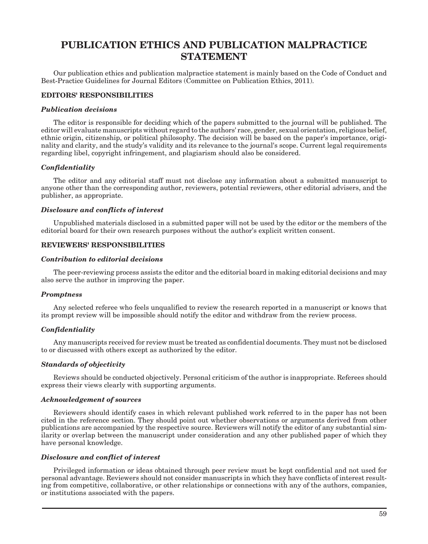# **PUBLICATION ETHICS AND PUBLICATION MALPRACTICE STATEMENT**

Our publication ethics and publication malpractice statement is mainly based on the Code of Conduct and Best-Practice Guidelines for Journal Editors (Committee on Publication Ethics, 2011).

# **EDITORS' RESPONSIBILITIES**

#### *Publication decisions*

The editor is responsible for deciding which of the papers submitted to the journal will be published. The editor will evaluate manuscripts without regard to the authors' race, gender, sexual orientation, religious belief, ethnic origin, citizenship, or political philosophy. The decision will be based on the paper's importance, originality and clarity, and the study's validity and its relevance to the journal's scope. Current legal requirements regarding libel, copyright infringement, and plagiarism should also be considered.

## *Confidentiality*

The editor and any editorial staff must not disclose any information about a submitted manuscript to anyone other than the corresponding author, reviewers, potential reviewers, other editorial advisers, and the publisher, as appropriate.

## *Disclosure and conflicts of interest*

Unpublished materials disclosed in a submitted paper will not be used by the editor or the members of the editorial board for their own research purposes without the author's explicit written consent.

## **REVIEWERS' RESPONSIBILITIES**

#### *Contribution to editorial decisions*

The peer-reviewing process assists the editor and the editorial board in making editorial decisions and may also serve the author in improving the paper.

## *Promptness*

Any selected referee who feels unqualified to review the research reported in a manuscript or knows that its prompt review will be impossible should notify the editor and withdraw from the review process.

## *Confidentiality*

Any manuscripts received for review must be treated as confidential documents. They must not be disclosed to or discussed with others except as authorized by the editor.

#### *Standards of objectivity*

Reviews should be conducted objectively. Personal criticism of the author is inappropriate. Referees should express their views clearly with supporting arguments.

## *Acknowledgement of sources*

Reviewers should identify cases in which relevant published work referred to in the paper has not been cited in the reference section. They should point out whether observations or arguments derived from other publications are accompanied by the respective source. Reviewers will notify the editor of any substantial similarity or overlap between the manuscript under consideration and any other published paper of which they have personal knowledge.

## *Disclosure and conflict of interest*

Privileged information or ideas obtained through peer review must be kept confidential and not used for personal advantage. Reviewers should not consider manuscripts in which they have conflicts of interest resulting from competitive, collaborative, or other relationships or connections with any of the authors, companies, or institutions associated with the papers.